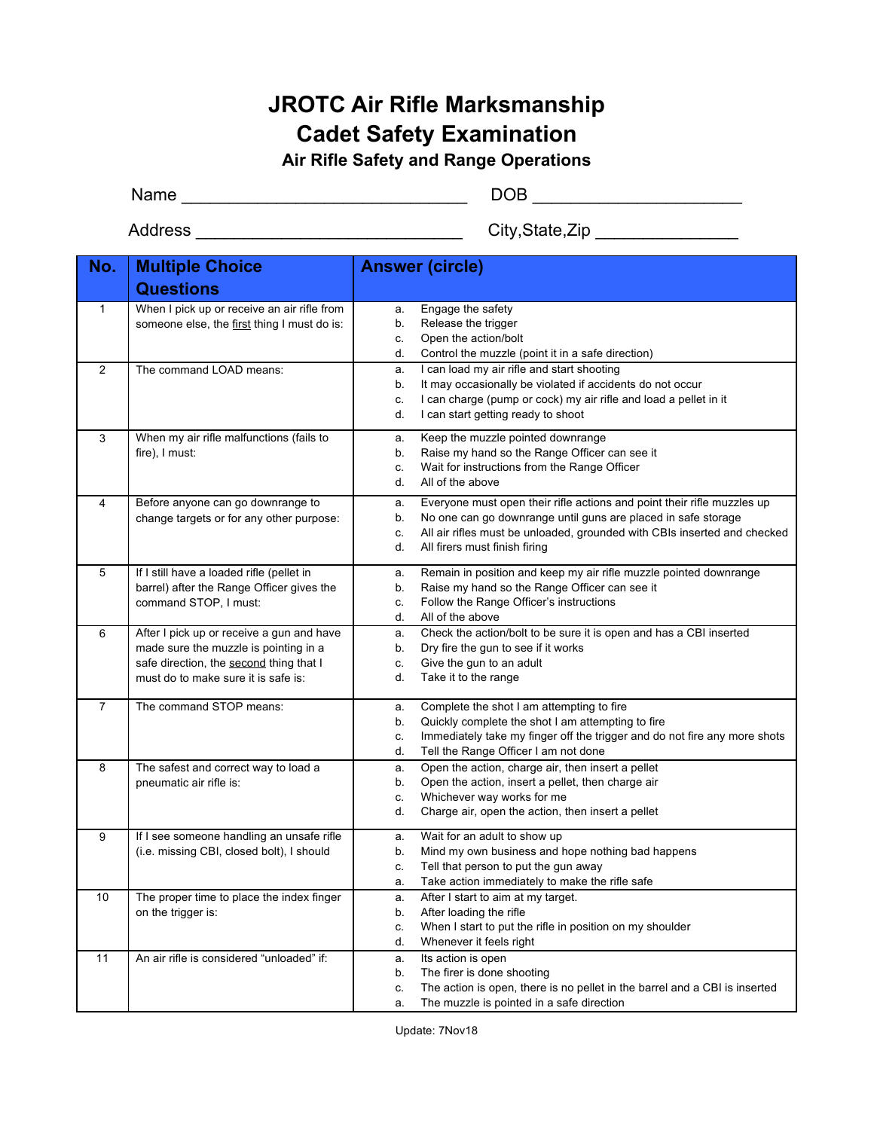## **JROTC Air Rifle Marksmanship Cadet Safety Examination**

**Air Rifle Safety and Range Operations**

Name \_\_\_\_\_\_\_\_\_\_\_\_\_\_\_\_\_\_\_\_\_\_\_\_\_\_\_\_\_\_ DOB \_\_\_\_\_\_\_\_\_\_\_\_\_\_\_\_\_\_\_\_\_\_

Address \_\_\_\_\_\_\_\_\_\_\_\_\_\_\_\_\_\_\_\_\_\_\_\_\_\_\_\_ City,State,Zip \_\_\_\_\_\_\_\_\_\_\_\_\_\_\_

| No.            | <b>Multiple Choice</b>                      | <b>Answer (circle)</b>                                                                                                        |  |
|----------------|---------------------------------------------|-------------------------------------------------------------------------------------------------------------------------------|--|
|                | <b>Questions</b>                            |                                                                                                                               |  |
| $\mathbf{1}$   | When I pick up or receive an air rifle from | Engage the safety<br>a.                                                                                                       |  |
|                | someone else, the first thing I must do is: | b.<br>Release the trigger                                                                                                     |  |
|                |                                             | Open the action/bolt<br>c.<br>d.<br>Control the muzzle (point it in a safe direction)                                         |  |
| 2              | The command LOAD means:                     | I can load my air rifle and start shooting                                                                                    |  |
|                |                                             | a.<br>It may occasionally be violated if accidents do not occur<br>b.                                                         |  |
|                |                                             | I can charge (pump or cock) my air rifle and load a pellet in it<br>c.                                                        |  |
|                |                                             | d.<br>I can start getting ready to shoot                                                                                      |  |
| 3              | When my air rifle malfunctions (fails to    | Keep the muzzle pointed downrange<br>a.                                                                                       |  |
|                | fire), I must:                              | Raise my hand so the Range Officer can see it<br>b.                                                                           |  |
|                |                                             | Wait for instructions from the Range Officer<br>c.                                                                            |  |
|                |                                             | All of the above<br>d.                                                                                                        |  |
| 4              | Before anyone can go downrange to           | Everyone must open their rifle actions and point their rifle muzzles up<br>a.                                                 |  |
|                | change targets or for any other purpose:    | No one can go downrange until guns are placed in safe storage<br>b.                                                           |  |
|                |                                             | All air rifles must be unloaded, grounded with CBIs inserted and checked<br>c.                                                |  |
|                |                                             | d.<br>All firers must finish firing                                                                                           |  |
| 5              | If I still have a loaded rifle (pellet in   | Remain in position and keep my air rifle muzzle pointed downrange<br>a.                                                       |  |
|                | barrel) after the Range Officer gives the   | Raise my hand so the Range Officer can see it<br>b.                                                                           |  |
|                | command STOP, I must:                       | Follow the Range Officer's instructions<br>c.                                                                                 |  |
|                |                                             | d.<br>All of the above                                                                                                        |  |
| 6              | After I pick up or receive a gun and have   | Check the action/bolt to be sure it is open and has a CBI inserted<br>a.                                                      |  |
|                | made sure the muzzle is pointing in a       | b.<br>Dry fire the gun to see if it works                                                                                     |  |
|                | safe direction, the second thing that I     | Give the gun to an adult<br>c.                                                                                                |  |
|                | must do to make sure it is safe is:         | d.<br>Take it to the range                                                                                                    |  |
| $\overline{7}$ | The command STOP means:                     | Complete the shot I am attempting to fire<br>a.                                                                               |  |
|                |                                             | Quickly complete the shot I am attempting to fire<br>b.                                                                       |  |
|                |                                             | Immediately take my finger off the trigger and do not fire any more shots<br>c.<br>d.<br>Tell the Range Officer I am not done |  |
| 8              | The safest and correct way to load a        | Open the action, charge air, then insert a pellet                                                                             |  |
|                | pneumatic air rifle is:                     | a.<br>Open the action, insert a pellet, then charge air<br>b.                                                                 |  |
|                |                                             | Whichever way works for me<br>c.                                                                                              |  |
|                |                                             | d.<br>Charge air, open the action, then insert a pellet                                                                       |  |
| 9              | If I see someone handling an unsafe rifle   | Wait for an adult to show up<br>a.                                                                                            |  |
|                | (i.e. missing CBI, closed bolt), I should   | Mind my own business and hope nothing bad happens<br>b.                                                                       |  |
|                |                                             | Tell that person to put the gun away<br>c.                                                                                    |  |
|                |                                             | Take action immediately to make the rifle safe<br>a.                                                                          |  |
| 10             | The proper time to place the index finger   | After I start to aim at my target.<br>а.                                                                                      |  |
|                | on the trigger is:                          | After loading the rifle<br>b.                                                                                                 |  |
|                |                                             | When I start to put the rifle in position on my shoulder<br>c.                                                                |  |
|                |                                             | Whenever it feels right<br>d.                                                                                                 |  |
| 11             | An air rifle is considered "unloaded" if:   | Its action is open<br>a.                                                                                                      |  |
|                |                                             | The firer is done shooting<br>b.                                                                                              |  |
|                |                                             | The action is open, there is no pellet in the barrel and a CBI is inserted<br>c.<br>The muzzle is pointed in a safe direction |  |
|                |                                             | a.                                                                                                                            |  |

Update: 7Nov18